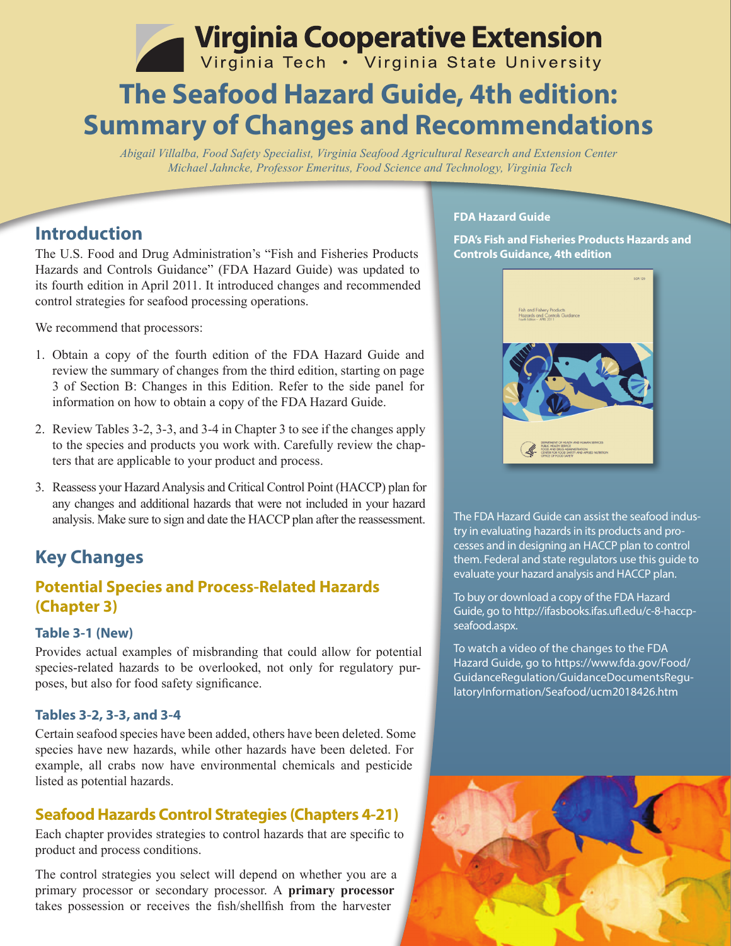# Virginia Cooperative Extension

## **The Seafood Hazard Guide, 4th edition: Summary of Changes and Recommendations**

*Abigail Villalba, Food Safety Specialist, Virginia Seafood Agricultural Research and Extension Center Michael Jahncke, Professor Emeritus, Food Science and Technology, Virginia Tech*

## **Introduction**

The U.S. Food and Drug Administration's "Fish and Fisheries Products Hazards and Controls Guidance" (FDA Hazard Guide) was updated to its fourth edition in April 2011. It introduced changes and recommended control strategies for seafood processing operations.

We recommend that processors:

- 1. Obtain a copy of the fourth edition of the FDA Hazard Guide and review the summary of changes from the third edition, starting on page 3 of Section B: Changes in this Edition. Refer to the side panel for information on how to obtain a copy of the FDA Hazard Guide.
- 2. Review Tables 3-2, 3-3, and 3-4 in Chapter 3 to see if the changes apply to the species and products you work with. Carefully review the chapters that are applicable to your product and process.
- 3. Reassess your Hazard Analysis and Critical Control Point (HACCP) plan for any changes and additional hazards that were not included in your hazard analysis. Make sure to sign and date the HACCP plan after the reassessment.

## **Key Changes**

## **Potential Species and Process-Related Hazards (Chapter 3)**

#### **Table 3-1 (New)**

Provides actual examples of misbranding that could allow for potential species-related hazards to be overlooked, not only for regulatory purposes, but also for food safety significance.

#### **Tables 3-2, 3-3, and 3-4**

Certain seafood species have been added, others have been deleted. Some species have new hazards, while other hazards have been deleted. For example, all crabs now have environmental chemicals and pesticide listed as potential hazards.

### **Seafood Hazards Control Strategies (Chapters 4-21)**

Each chapter provides strategies to control hazards that are specific to product and process conditions.

The control strategies you select will depend on whether you are a primary processor or secondary processor. A **primary processor** takes possession or receives the fish/shellfish from the harvester

#### **FDA Hazard Guide**

**FDA's Fish and Fisheries Products Hazards and Controls Guidance, 4th edition** 



The FDA Hazard Guide can assist the seafood industry in evaluating hazards in its products and processes and in designing an HACCP plan to control them. Federal and state regulators use this guide to evaluate your hazard analysis and HACCP plan.

To buy or download a copy of the FDA Hazard Guide, go to http://ifasbooks.ifas.ufl.edu/c-8-haccpseafood.aspx.

To watch a video of the changes to the FDA Hazard Guide, go to https://www.fda.gov/Food/ GuidanceRegulation/GuidanceDocumentsRegulatoryInformation/Seafood/ucm2018426.htm

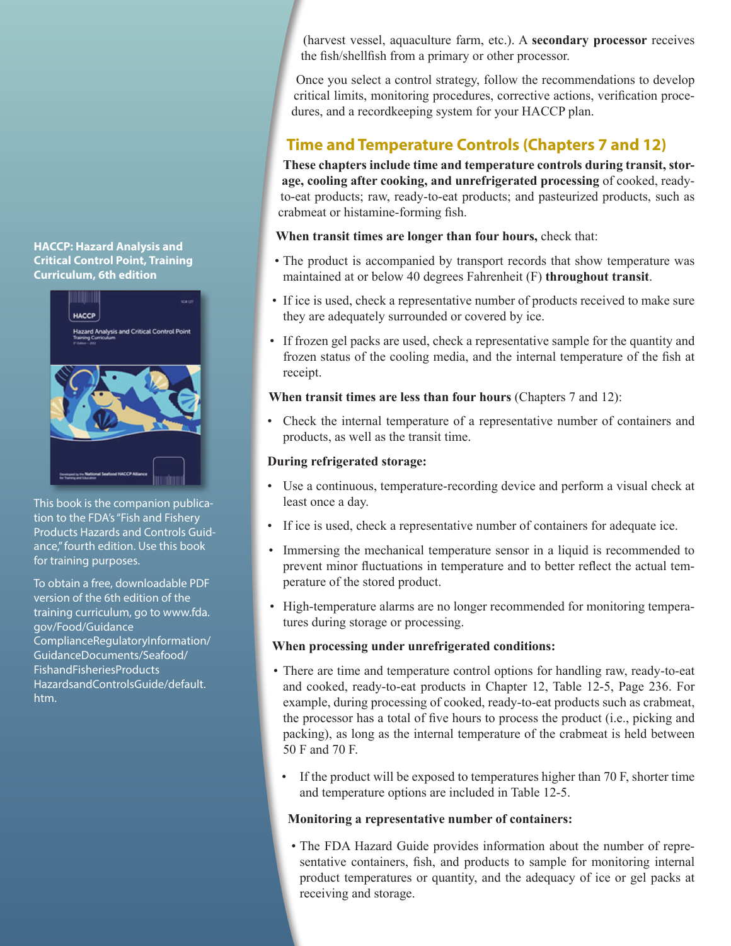#### **HACCP: Hazard Analysis and Critical Control Point, Training Curriculum, 6th edition**



This book is the companion publication to the FDA's "Fish and Fishery Products Hazards and Controls Guidance," fourth edition. Use this book for training purposes.

To obtain a free, downloadable PDF version of the 6th edition of the training curriculum, go to www.fda. gov/Food/Guidance ComplianceRegulatoryInformation/ GuidanceDocuments/Seafood/ FishandFisheriesProducts HazardsandControlsGuide/default. htm.

(harvest vessel, aquaculture farm, etc.). A **secondary processor** receives the fish/shellfish from a primary or other processor.

Once you select a control strategy, follow the recommendations to develop critical limits, monitoring procedures, corrective actions, verification procedures, and a recordkeeping system for your HACCP plan.

## **Time and Temperature Controls (Chapters 7 and 12)**

**These chapters include time and temperature controls during transit, storage, cooling after cooking, and unrefrigerated processing** of cooked, readyto-eat products; raw, ready-to-eat products; and pasteurized products, such as crabmeat or histamine-forming fish.

**When transit times are longer than four hours,** check that:

- The product is accompanied by transport records that show temperature was maintained at or below 40 degrees Fahrenheit (F) **throughout transit**.
- If ice is used, check a representative number of products received to make sure they are adequately surrounded or covered by ice.
- If frozen gel packs are used, check a representative sample for the quantity and frozen status of the cooling media, and the internal temperature of the fish at receipt.

#### **When transit times are less than four hours** (Chapters 7 and 12):

• Check the internal temperature of a representative number of containers and products, as well as the transit time.

#### **During refrigerated storage:**

- Use a continuous, temperature-recording device and perform a visual check at least once a day.
- If ice is used, check a representative number of containers for adequate ice.
- Immersing the mechanical temperature sensor in a liquid is recommended to prevent minor fluctuations in temperature and to better reflect the actual temperature of the stored product.
- High-temperature alarms are no longer recommended for monitoring temperatures during storage or processing.

#### **When processing under unrefrigerated conditions:**

- There are time and temperature control options for handling raw, ready-to-eat and cooked, ready-to-eat products in Chapter 12, Table 12-5, Page 236. For example, during processing of cooked, ready-to-eat products such as crabmeat, the processor has a total of five hours to process the product (i.e., picking and packing), as long as the internal temperature of the crabmeat is held between 50 F and 70 F.
- If the product will be exposed to temperatures higher than 70 F, shorter time and temperature options are included in Table 12-5.

#### **Monitoring a representative number of containers:**

• The FDA Hazard Guide provides information about the number of representative containers, fish, and products to sample for monitoring internal product temperatures or quantity, and the adequacy of ice or gel packs at receiving and storage.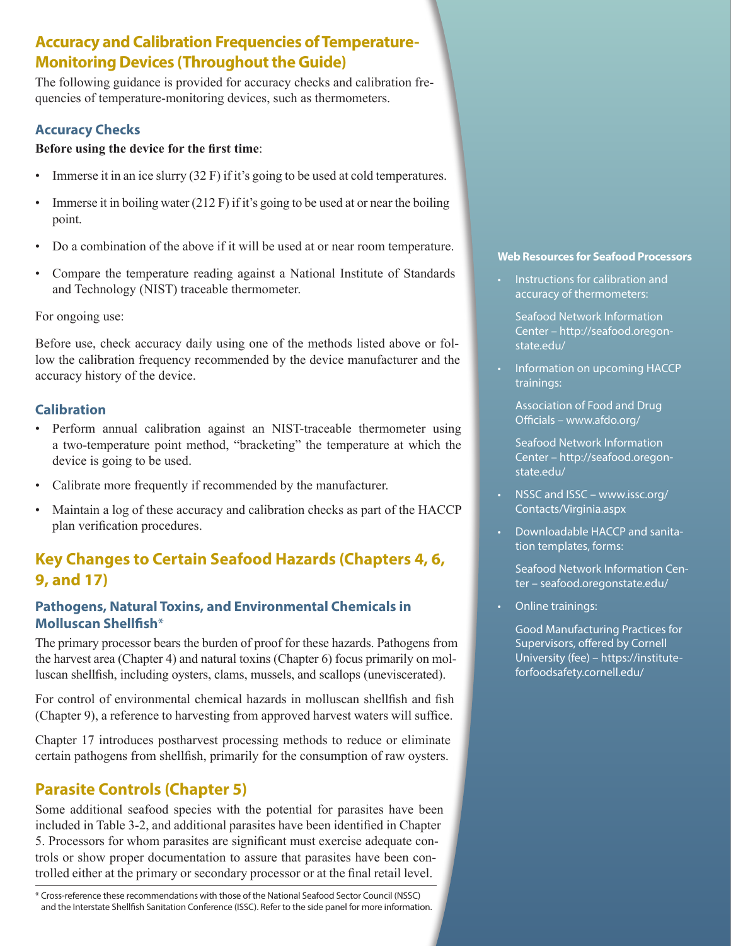## **Accuracy and Calibration Frequencies of Temperature-Monitoring Devices (Throughout the Guide)**

The following guidance is provided for accuracy checks and calibration frequencies of temperature-monitoring devices, such as thermometers.

#### **Accuracy Checks**

#### **Before using the device for the first time**:

- Immerse it in an ice slurry  $(32 F)$  if it's going to be used at cold temperatures.
- Immerse it in boiling water  $(212 \text{ F})$  if it's going to be used at or near the boiling point.
- Do a combination of the above if it will be used at or near room temperature.
- Compare the temperature reading against a National Institute of Standards and Technology (NIST) traceable thermometer.

#### For ongoing use:

Before use, check accuracy daily using one of the methods listed above or follow the calibration frequency recommended by the device manufacturer and the accuracy history of the device.

#### **Calibration**

- Perform annual calibration against an NIST-traceable thermometer using a two-temperature point method, "bracketing" the temperature at which the device is going to be used.
- Calibrate more frequently if recommended by the manufacturer.
- Maintain a log of these accuracy and calibration checks as part of the HACCP plan verification procedures.

## **Key Changes to Certain Seafood Hazards (Chapters 4, 6, 9, and 17)**

#### **Pathogens, Natural Toxins, and Environmental Chemicals in Molluscan Shellfish**\*

The primary processor bears the burden of proof for these hazards. Pathogens from the harvest area (Chapter 4) and natural toxins (Chapter 6) focus primarily on molluscan shellfish, including oysters, clams, mussels, and scallops (uneviscerated).

For control of environmental chemical hazards in molluscan shellfish and fish (Chapter 9), a reference to harvesting from approved harvest waters will suffice.

Chapter 17 introduces postharvest processing methods to reduce or eliminate certain pathogens from shellfish, primarily for the consumption of raw oysters.

## **Parasite Controls (Chapter 5)**

Some additional seafood species with the potential for parasites have been included in Table 3-2, and additional parasites have been identified in Chapter 5. Processors for whom parasites are significant must exercise adequate controls or show proper documentation to assure that parasites have been controlled either at the primary or secondary processor or at the final retail level.

\* Cross-reference these recommendations with those of the National Seafood Sector Council (NSSC) and the Interstate Shellfish Sanitation Conference (ISSC). Refer to the side panel for more information.

#### **Web Resources for Seafood Processors**

• Instructions for calibration and accuracy of thermometers:

 Seafood Network Information Center – http://seafood.oregonstate.edu/

• Information on upcoming HACCP trainings:

 Association of Food and Drug Officials – www.afdo.org/

 Seafood Network Information Center – http://seafood.oregonstate.edu/

- •NSSC and ISSC www.issc.org/ Contacts/Virginia.aspx
- Downloadable HACCP and sanitation templates, forms:
	- Seafood Network Information Center – seafood.oregonstate.edu/
- Online trainings:

 Good Manufacturing Practices for Supervisors, offered by Cornell University (fee) – https://instituteforfoodsafety.cornell.edu/